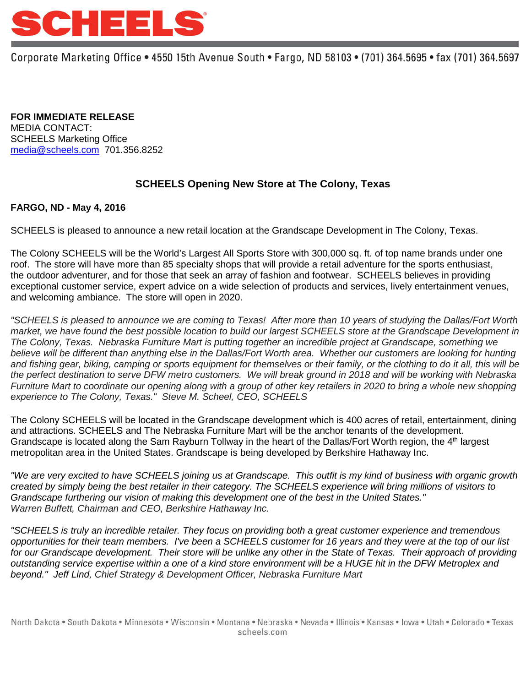

Corporate Marketing Office • 4550 15th Avenue South • Fargo, ND 58103 • (701) 364.5695 • fax (701) 364.5697

**FOR IMMEDIATE RELEASE** MEDIA CONTACT: SCHEELS Marketing Office [media@scheels.com](mailto:media@scheels.com) 701.356.8252

## **SCHEELS Opening New Store at The Colony, Texas**

## **FARGO, ND - May 4, 2016**

SCHEELS is pleased to announce a new retail location at the Grandscape Development in The Colony, Texas.

The Colony SCHEELS will be the World's Largest All Sports Store with 300,000 sq. ft. of top name brands under one roof. The store will have more than 85 specialty shops that will provide a retail adventure for the sports enthusiast, the outdoor adventurer, and for those that seek an array of fashion and footwear. SCHEELS believes in providing exceptional customer service, expert advice on a wide selection of products and services, lively entertainment venues, and welcoming ambiance. The store will open in 2020.

*"SCHEELS is pleased to announce we are coming to Texas! After more than 10 years of studying the Dallas/Fort Worth market, we have found the best possible location to build our largest SCHEELS store at the Grandscape Development in The Colony, Texas. Nebraska Furniture Mart is putting together an incredible project at Grandscape, something we believe will be different than anything else in the Dallas/Fort Worth area. Whether our customers are looking for hunting*  and fishing gear, biking, camping or sports equipment for themselves or their family, or the clothing to do it all, this will be *the perfect destination to serve DFW metro customers. We will break ground in 2018 and will be working with Nebraska Furniture Mart to coordinate our opening along with a group of other key retailers in 2020 to bring a whole new shopping experience to The Colony, Texas." Steve M. Scheel, CEO, SCHEELS*

The Colony SCHEELS will be located in the Grandscape development which is 400 acres of retail, entertainment, dining and attractions. SCHEELS and The Nebraska Furniture Mart will be the anchor tenants of the development. Grandscape is located along the Sam Rayburn Tollway in the heart of the Dallas/Fort Worth region, the 4<sup>th</sup> largest metropolitan area in the United States. Grandscape is being developed by Berkshire Hathaway Inc.

*"We are very excited to have SCHEELS joining us at Grandscape. This outfit is my kind of business with organic growth created by simply being the best retailer in their category. The SCHEELS experience will bring millions of visitors to Grandscape furthering our vision of making this development one of the best in the United States." Warren Buffett, Chairman and CEO, Berkshire Hathaway Inc.*

*"SCHEELS is truly an incredible retailer. They focus on providing both a great customer experience and tremendous opportunities for their team members. I've been a SCHEELS customer for 16 years and they were at the top of our list for our Grandscape development. Their store will be unlike any other in the State of Texas. Their approach of providing outstanding service expertise within a one of a kind store environment will be a HUGE hit in the DFW Metroplex and beyond." Jeff Lind, Chief Strategy & Development Officer, Nebraska Furniture Mart*